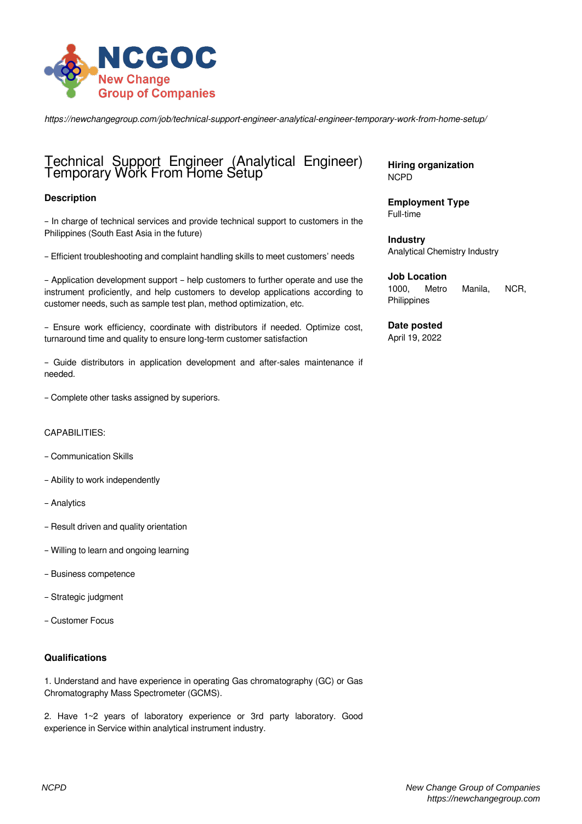

*https://newchangegroup.com/job/technical-support-engineer-analytical-engineer-temporary-work-from-home-setup/*

## Technical Support Engineer (Analytical Engineer) Temporary Work From Home Setup

## **Description**

– In charge of technical services and provide technical support to customers in the Philippines (South East Asia in the future)

– Efficient troubleshooting and complaint handling skills to meet customers' needs

– Application development support – help customers to further operate and use the instrument proficiently, and help customers to develop applications according to customer needs, such as sample test plan, method optimization, etc.

– Ensure work efficiency, coordinate with distributors if needed. Optimize cost, turnaround time and quality to ensure long-term customer satisfaction

– Guide distributors in application development and after-sales maintenance if needed.

– Complete other tasks assigned by superiors.

## CAPABILITIES:

- Communication Skills
- Ability to work independently
- Analytics
- Result driven and quality orientation
- Willing to learn and ongoing learning
- Business competence
- Strategic judgment
- Customer Focus

## **Qualifications**

1. Understand and have experience in operating Gas chromatography (GC) or Gas Chromatography Mass Spectrometer (GCMS).

2. Have 1~2 years of laboratory experience or 3rd party laboratory. Good experience in Service within analytical instrument industry.

**Hiring organization** NCPD

**Employment Type** Full-time

**Industry** Analytical Chemistry Industry

**Job Location**

1000, Metro Manila, NCR, Philippines

**Date posted** April 19, 2022